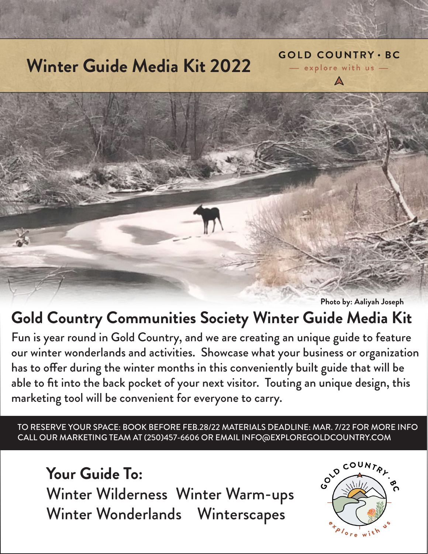# **Winter Guide Media Kit 2022**



**Photo by: Aaliyah Joseph**

**GOLD COUNTRY . BC** - explore with us -

## **Gold Country Communities Society Winter Guide Media Kit**

Fun is year round in Gold Country, and we are creating an unique guide to feature our winter wonderlands and activities. Showcase what your business or organization has to offer during the winter months in this conveniently built guide that will be able to fit into the back pocket of your next visitor. Touting an unique design, this marketing tool will be convenient for everyone to carry.

TO RESERVE YOUR SPACE: BOOK BEFORE FEB.28/22 MATERIALS DEADLINE: MAR. 7/22 FOR MORE INFO CALL OUR MARKETING TEAM AT (250)457-6606 OR EMAIL INFO@EXPLOREGOLDCOUNTRY.COM

**Your Guide To:** Winter Wilderness Winter Warm-ups Winter Wonderlands Winterscapes

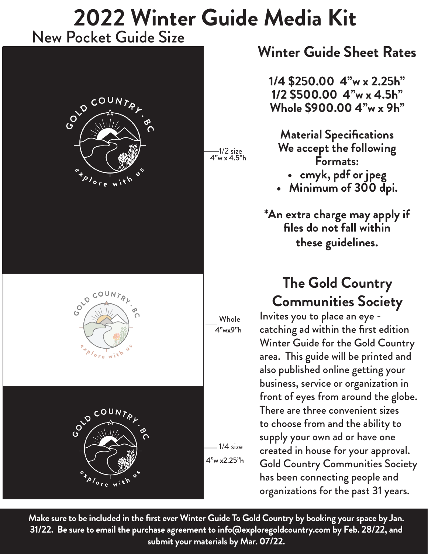## **2022 Winter Guide Media Kit** New Pocket Guide Size

1/2 size

4"w x 4.5"h







#### **Winter Guide Sheet Rates**

**1/4 \$250.00 4"w x 2.25h" 1/2 \$500.00 4"w x 4.5h" Whole \$900.00 4"w x 9h"**

**Material Specifications We accept the following Formats:**

**• cmyk, pdf or jpeg**

**• Minimum of 300 dpi.**

**\*An extra charge may apply if files do not fall within these guidelines.**

### **The Gold Country Communities Society**

Invites you to place an eye catching ad within the first edition Winter Guide for the Gold Country area. This guide will be printed and also published online getting your business, service or organization in front of eyes from around the globe. There are three convenient sizes to choose from and the ability to supply your own ad or have one created in house for your approval. Gold Country Communities Society has been connecting people and organizations for the past 31 years.

**Make sure to be included in the first ever Winter Guide To Gold Country by booking your space by Jan. 31/22. Be sure to email the purchase agreement to info@exploregoldcountry.com by Feb. 28/22, and submit your materials by Mar. 07/22.** 

 $-1/4$  size

4"w x2.25"h

Whole 4"wx9"h